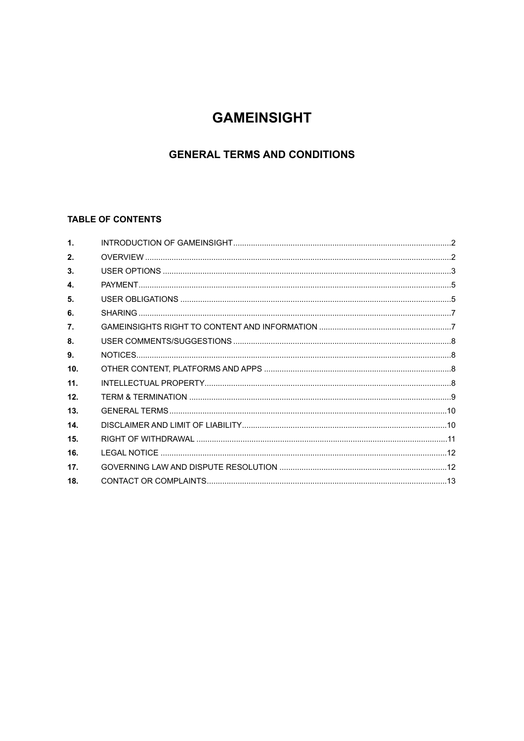# **GAMEINSIGHT**

# **GENERAL TERMS AND CONDITIONS**

# TABLE OF CONTENTS

| $\mathbf{1}$ .   |  |
|------------------|--|
| 2.               |  |
| 3.               |  |
| 4.               |  |
| 5.               |  |
| 6.               |  |
| $\overline{7}$ . |  |
| 8.               |  |
| 9.               |  |
| 10.              |  |
| 11 <sub>1</sub>  |  |
| 12 <sub>1</sub>  |  |
| 13.              |  |
| 14               |  |
| 15 <sub>1</sub>  |  |
| 16.              |  |
| 17 <sub>1</sub>  |  |
| 18.              |  |
|                  |  |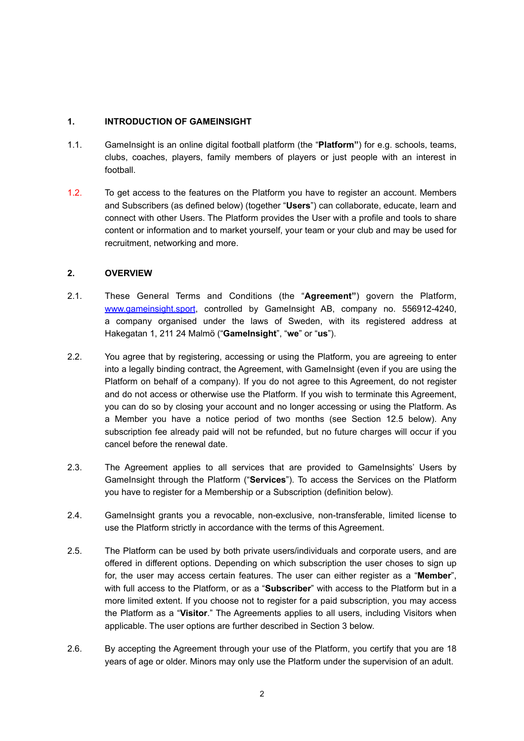# <span id="page-1-0"></span>**1. INTRODUCTION OF GAMEINSIGHT**

- 1.1. GameInsight is an online digital football platform (the "**Platform"**) for e.g. schools, teams, clubs, coaches, players, family members of players or just people with an interest in football.
- 1.2. To get access to the features on the Platform you have to register an account. Members and Subscribers (as defined below) (together "**Users**") can collaborate, educate, learn and connect with other Users. The Platform provides the User with a profile and tools to share content or information and to market yourself, your team or your club and may be used for recruitment, networking and more.

# <span id="page-1-1"></span>**2. OVERVIEW**

- 2.1. These General Terms and Conditions (the "**Agreement"**) govern the Platform, [www.gameinsight.sport,](http://www.gameinsight.sport) controlled by GameInsight AB, company no. 556912-4240, a company organised under the laws of Sweden, with its registered address at Hakegatan 1, 211 24 Malmö ("**GameInsight**", "**we**" or "**us**").
- 2.2. You agree that by registering, accessing or using the Platform, you are agreeing to enter into a legally binding contract, the Agreement, with GameInsight (even if you are using the Platform on behalf of a company). If you do not agree to this Agreement, do not register and do not access or otherwise use the Platform. If you wish to terminate this Agreement, you can do so by closing your account and no longer accessing or using the Platform. As a Member you have a notice period of two months (see Section [12.5](#page-8-1) below). Any subscription fee already paid will not be refunded, but no future charges will occur if you cancel before the renewal date.
- 2.3. The Agreement applies to all services that are provided to GameInsights' Users by GameInsight through the Platform ("**Services**"). To access the Services on the Platform you have to register for a Membership or a Subscription (definition below).
- 2.4. GameInsight grants you a revocable, non-exclusive, non-transferable, limited license to use the Platform strictly in accordance with the terms of this Agreement.
- 2.5. The Platform can be used by both private users/individuals and corporate users, and are offered in different options. Depending on which subscription the user choses to sign up for, the user may access certain features. The user can either register as a "**Member**", with full access to the Platform, or as a "**Subscriber**" with access to the Platform but in a more limited extent. If you choose not to register for a paid subscription, you may access the Platform as a "**Visitor**." The Agreements applies to all users, including Visitors when applicable. The user options are further described in Section [3](#page-2-0) below.
- <span id="page-1-2"></span>2.6. By accepting the Agreement through your use of the Platform, you certify that you are 18 years of age or older. Minors may only use the Platform under the supervision of an adult.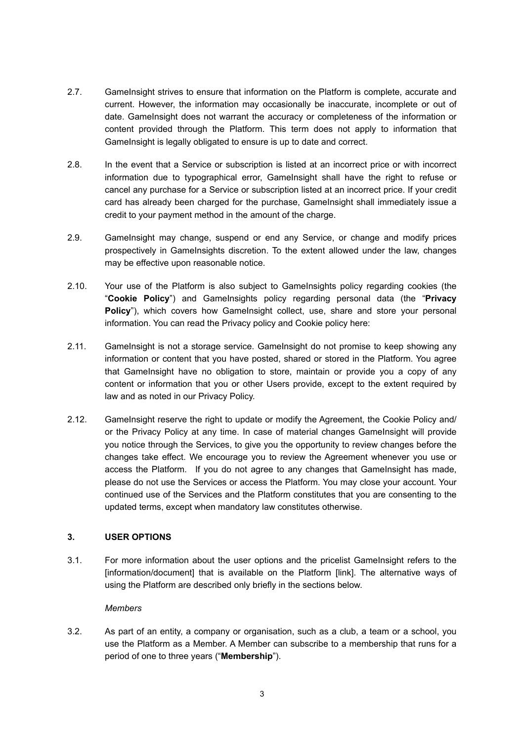- 2.7. GameInsight strives to ensure that information on the Platform is complete, accurate and current. However, the information may occasionally be inaccurate, incomplete or out of date. GameInsight does not warrant the accuracy or completeness of the information or content provided through the Platform. This term does not apply to information that GameInsight is legally obligated to ensure is up to date and correct.
- 2.8. In the event that a Service or subscription is listed at an incorrect price or with incorrect information due to typographical error, GameInsight shall have the right to refuse or cancel any purchase for a Service or subscription listed at an incorrect price. If your credit card has already been charged for the purchase, GameInsight shall immediately issue a credit to your payment method in the amount of the charge.
- 2.9. GameInsight may change, suspend or end any Service, or change and modify prices prospectively in GameInsights discretion. To the extent allowed under the law, changes may be effective upon reasonable notice.
- 2.10. Your use of the Platform is also subject to GameInsights policy regarding cookies (the "**Cookie Policy**") and GameInsights policy regarding personal data (the "**Privacy Policy**"), which covers how GameInsight collect, use, share and store your personal information. You can read the Privacy policy and Cookie policy here:
- 2.11. GameInsight is not a storage service. GameInsight do not promise to keep showing any information or content that you have posted, shared or stored in the Platform. You agree that GameInsight have no obligation to store, maintain or provide you a copy of any content or information that you or other Users provide, except to the extent required by law and as noted in our Privacy Policy.
- 2.12. GameInsight reserve the right to update or modify the Agreement, the Cookie Policy and/ or the Privacy Policy at any time. In case of material changes GameInsight will provide you notice through the Services, to give you the opportunity to review changes before the changes take effect. We encourage you to review the Agreement whenever you use or access the Platform. If you do not agree to any changes that GameInsight has made, please do not use the Services or access the Platform. You may close your account. Your continued use of the Services and the Platform constitutes that you are consenting to the updated terms, except when mandatory law constitutes otherwise.

# <span id="page-2-0"></span>**3. USER OPTIONS**

3.1. For more information about the user options and the pricelist GameInsight refers to the [information/document] that is available on the Platform [link]. The alternative ways of using the Platform are described only briefly in the sections below.

# *Members*

3.2. As part of an entity, a company or organisation, such as a club, a team or a school, you use the Platform as a Member. A Member can subscribe to a membership that runs for a period of one to three years ("**Membership**").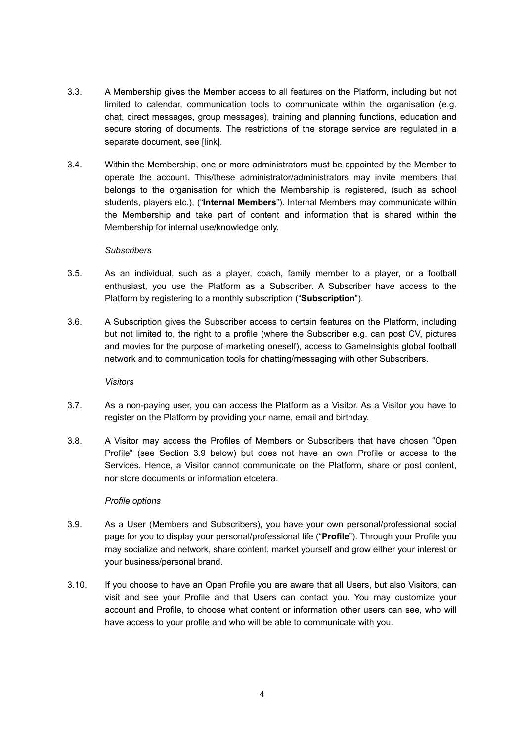- 3.3. A Membership gives the Member access to all features on the Platform, including but not limited to calendar, communication tools to communicate within the organisation (e.g. chat, direct messages, group messages), training and planning functions, education and secure storing of documents. The restrictions of the storage service are regulated in a separate document, see [link].
- 3.4. Within the Membership, one or more administrators must be appointed by the Member to operate the account. This/these administrator/administrators may invite members that belongs to the organisation for which the Membership is registered, (such as school students, players etc.), ("**Internal Members**"). Internal Members may communicate within the Membership and take part of content and information that is shared within the Membership for internal use/knowledge only.

#### *Subscribers*

- 3.5. As an individual, such as a player, coach, family member to a player, or a football enthusiast, you use the Platform as a Subscriber. A Subscriber have access to the Platform by registering to a monthly subscription ("**Subscription**").
- 3.6. A Subscription gives the Subscriber access to certain features on the Platform, including but not limited to, the right to a profile (where the Subscriber e.g. can post CV, pictures and movies for the purpose of marketing oneself), access to GameInsights global football network and to communication tools for chatting/messaging with other Subscribers.

# *Visitors*

- 3.7. As a non-paying user, you can access the Platform as a Visitor. As a Visitor you have to register on the Platform by providing your name, email and birthday.
- 3.8. A Visitor may access the Profiles of Members or Subscribers that have chosen "Open Profile" (see Section [3.9](#page-3-0) below) but does not have an own Profile or access to the Services. Hence, a Visitor cannot communicate on the Platform, share or post content, nor store documents or information etcetera.

# <span id="page-3-1"></span>*Profile options*

- 3.9. As a User (Members and Subscribers), you have your own personal/professional social page for you to display your personal/professional life ("**Profile**"). Through your Profile you may socialize and network, share content, market yourself and grow either your interest or your business/personal brand.
- <span id="page-3-0"></span>3.10. If you choose to have an Open Profile you are aware that all Users, but also Visitors, can visit and see your Profile and that Users can contact you. You may customize your account and Profile, to choose what content or information other users can see, who will have access to your profile and who will be able to communicate with you.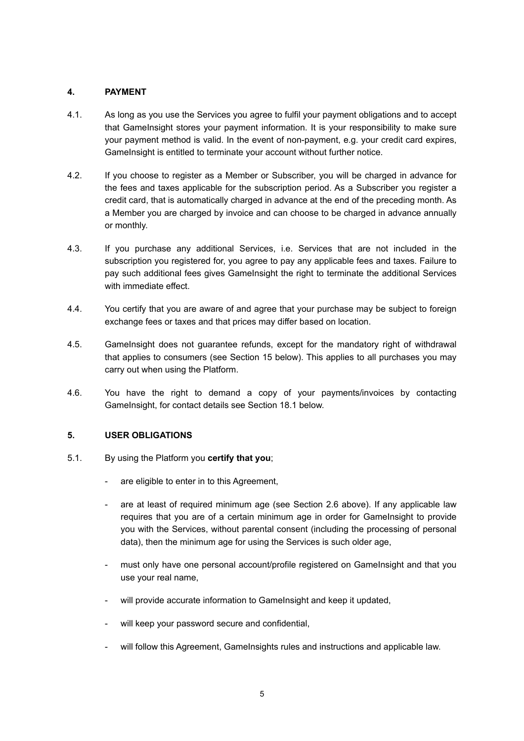# <span id="page-4-0"></span>**4. PAYMENT**

- 4.1. As long as you use the Services you agree to fulfil your payment obligations and to accept that GameInsight stores your payment information. It is your responsibility to make sure your payment method is valid. In the event of non-payment, e.g. your credit card expires, GameInsight is entitled to terminate your account without further notice.
- 4.2. If you choose to register as a Member or Subscriber, you will be charged in advance for the fees and taxes applicable for the subscription period. As a Subscriber you register a credit card, that is automatically charged in advance at the end of the preceding month. As a Member you are charged by invoice and can choose to be charged in advance annually or monthly.
- 4.3. If you purchase any additional Services, i.e. Services that are not included in the subscription you registered for, you agree to pay any applicable fees and taxes. Failure to pay such additional fees gives GameInsight the right to terminate the additional Services with immediate effect.
- 4.4. You certify that you are aware of and agree that your purchase may be subject to foreign exchange fees or taxes and that prices may differ based on location.
- 4.5. GameInsight does not guarantee refunds, except for the mandatory right of withdrawal that applies to consumers (see Section [15](#page-10-0) below). This applies to all purchases you may carry out when using the Platform.
- 4.6. You have the right to demand a copy of your payments/invoices by contacting GameInsight, for contact details see Section [18.1](#page-12-1) below.

# <span id="page-4-1"></span>**5. USER OBLIGATIONS**

- 5.1. By using the Platform you **certify that you**;
	- are eligible to enter in to this Agreement,
	- are at least of required minimum age (see Section [2.6](#page-1-2) above). If any applicable law requires that you are of a certain minimum age in order for GameInsight to provide you with the Services, without parental consent (including the processing of personal data), then the minimum age for using the Services is such older age,
	- must only have one personal account/profile registered on GameInsight and that you use your real name,
	- will provide accurate information to GameInsight and keep it updated,
	- will keep your password secure and confidential,
	- will follow this Agreement, GameInsights rules and instructions and applicable law.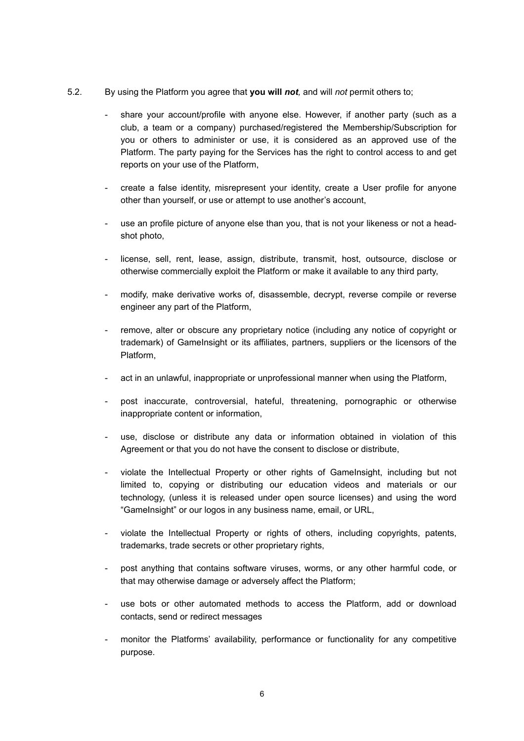- 5.2. By using the Platform you agree that **you will** *not,* and will *not* permit others to;
	- share your account/profile with anyone else. However, if another party (such as a club, a team or a company) purchased/registered the Membership/Subscription for you or others to administer or use, it is considered as an approved use of the Platform. The party paying for the Services has the right to control access to and get reports on your use of the Platform,
	- create a false identity, misrepresent your identity, create a User profile for anyone other than yourself, or use or attempt to use another's account,
	- use an profile picture of anyone else than you, that is not your likeness or not a headshot photo,
	- license, sell, rent, lease, assign, distribute, transmit, host, outsource, disclose or otherwise commercially exploit the Platform or make it available to any third party,
	- modify, make derivative works of, disassemble, decrypt, reverse compile or reverse engineer any part of the Platform,
	- remove, alter or obscure any proprietary notice (including any notice of copyright or trademark) of GameInsight or its affiliates, partners, suppliers or the licensors of the Platform,
	- act in an unlawful, inappropriate or unprofessional manner when using the Platform,
	- post inaccurate, controversial, hateful, threatening, pornographic or otherwise inappropriate content or information,
	- use, disclose or distribute any data or information obtained in violation of this Agreement or that you do not have the consent to disclose or distribute,
	- violate the Intellectual Property or other rights of GameInsight, including but not limited to, copying or distributing our education videos and materials or our technology, (unless it is released under open source licenses) and using the word "GameInsight" or our logos in any business name, email, or URL,
	- violate the Intellectual Property or rights of others, including copyrights, patents, trademarks, trade secrets or other proprietary rights,
	- post anything that contains software viruses, worms, or any other harmful code, or that may otherwise damage or adversely affect the Platform;
	- use bots or other automated methods to access the Platform, add or download contacts, send or redirect messages
	- monitor the Platforms' availability, performance or functionality for any competitive purpose.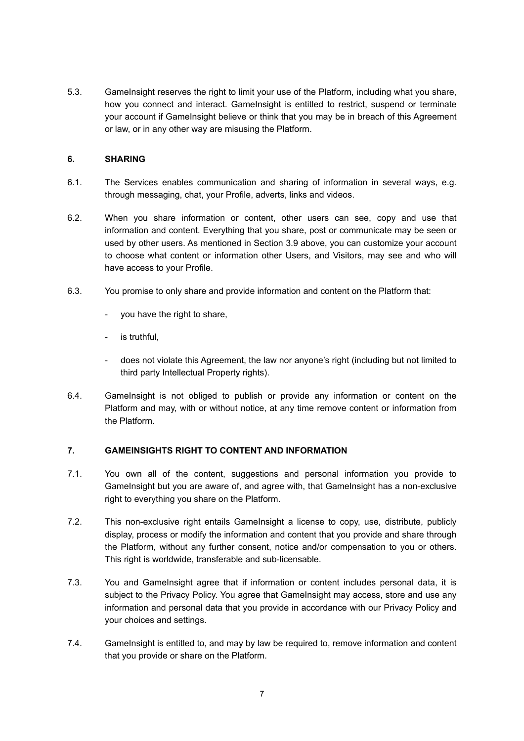5.3. GameInsight reserves the right to limit your use of the Platform, including what you share, how you connect and interact. GameInsight is entitled to restrict, suspend or terminate your account if GameInsight believe or think that you may be in breach of this Agreement or law, or in any other way are misusing the Platform.

# <span id="page-6-0"></span>**6. SHARING**

- 6.1. The Services enables communication and sharing of information in several ways, e.g. through messaging, chat, your Profile, adverts, links and videos.
- 6.2. When you share information or content, other users can see, copy and use that information and content. Everything that you share, post or communicate may be seen or used by other users. As mentioned in Section [3.9](#page-3-1) above, you can customize your account to choose what content or information other Users, and Visitors, may see and who will have access to your Profile.
- 6.3. You promise to only share and provide information and content on the Platform that:
	- you have the right to share,
	- is truthful,
	- does not violate this Agreement, the law nor anyone's right (including but not limited to third party Intellectual Property rights).
- 6.4. GameInsight is not obliged to publish or provide any information or content on the Platform and may, with or without notice, at any time remove content or information from the Platform.

# <span id="page-6-1"></span>**7. GAMEINSIGHTS RIGHT TO CONTENT AND INFORMATION**

- 7.1. You own all of the content, suggestions and personal information you provide to GameInsight but you are aware of, and agree with, that GameInsight has a non-exclusive right to everything you share on the Platform.
- 7.2. This non-exclusive right entails GameInsight a license to copy, use, distribute, publicly display, process or modify the information and content that you provide and share through the Platform, without any further consent, notice and/or compensation to you or others. This right is worldwide, transferable and sub-licensable.
- 7.3. You and GameInsight agree that if information or content includes personal data, it is subject to the Privacy Policy. You agree that GameInsight may access, store and use any information and personal data that you provide in accordance with our Privacy Policy and your choices and settings.
- 7.4. GameInsight is entitled to, and may by law be required to, remove information and content that you provide or share on the Platform.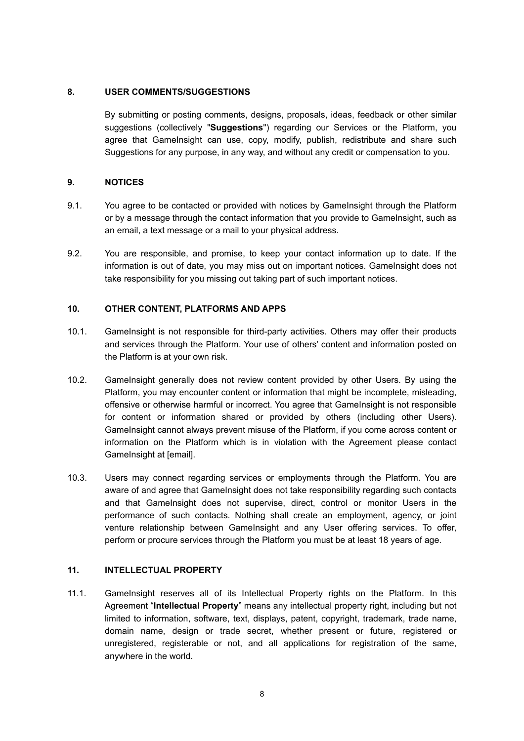# **8. USER COMMENTS/SUGGESTIONS**

<span id="page-7-0"></span>By submitting or posting comments, designs, proposals, ideas, feedback or other similar suggestions (collectively "**Suggestions**") regarding our Services or the Platform, you agree that GameInsight can use, copy, modify, publish, redistribute and share such Suggestions for any purpose, in any way, and without any credit or compensation to you.

# <span id="page-7-1"></span>**9. NOTICES**

- 9.1. You agree to be contacted or provided with notices by GameInsight through the Platform or by a message through the contact information that you provide to GameInsight, such as an email, a text message or a mail to your physical address.
- 9.2. You are responsible, and promise, to keep your contact information up to date. If the information is out of date, you may miss out on important notices. GameInsight does not take responsibility for you missing out taking part of such important notices.

# <span id="page-7-2"></span>**10. OTHER CONTENT, PLATFORMS AND APPS**

- 10.1. GameInsight is not responsible for third-party activities. Others may offer their products and services through the Platform. Your use of others' content and information posted on the Platform is at your own risk.
- 10.2. GameInsight generally does not review content provided by other Users. By using the Platform, you may encounter content or information that might be incomplete, misleading, offensive or otherwise harmful or incorrect. You agree that GameInsight is not responsible for content or information shared or provided by others (including other Users). GameInsight cannot always prevent misuse of the Platform, if you come across content or information on the Platform which is in violation with the Agreement please contact GameInsight at [email].
- 10.3. Users may connect regarding services or employments through the Platform. You are aware of and agree that GameInsight does not take responsibility regarding such contacts and that GameInsight does not supervise, direct, control or monitor Users in the performance of such contacts. Nothing shall create an employment, agency, or joint venture relationship between GameInsight and any User offering services. To offer, perform or procure services through the Platform you must be at least 18 years of age.

# <span id="page-7-3"></span>**11. INTELLECTUAL PROPERTY**

11.1. GameInsight reserves all of its Intellectual Property rights on the Platform. In this Agreement "**Intellectual Property**" means any intellectual property right, including but not limited to information, software, text, displays, patent, copyright, trademark, trade name, domain name, design or trade secret, whether present or future, registered or unregistered, registerable or not, and all applications for registration of the same, anywhere in the world.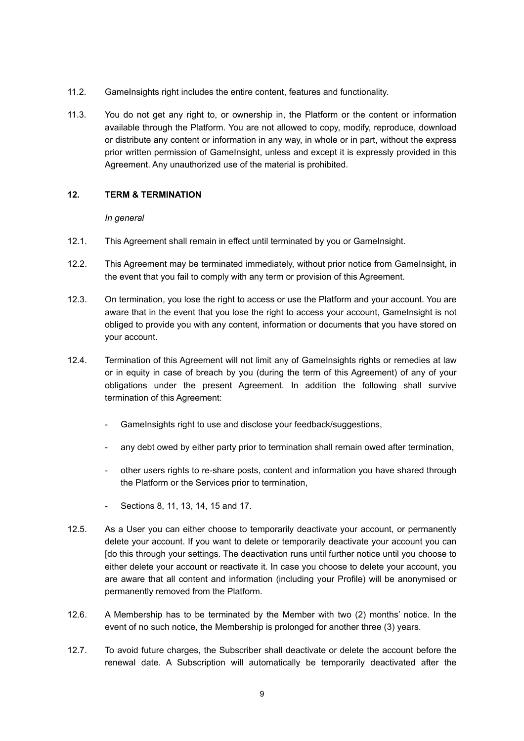- 11.2. GameInsights right includes the entire content, features and functionality.
- 11.3. You do not get any right to, or ownership in, the Platform or the content or information available through the Platform. You are not allowed to copy, modify, reproduce, download or distribute any content or information in any way, in whole or in part, without the express prior written permission of GameInsight, unless and except it is expressly provided in this Agreement. Any unauthorized use of the material is prohibited.

# **12. TERM & TERMINATION**

# <span id="page-8-0"></span>*In general*

- 12.1. This Agreement shall remain in effect until terminated by you or GameInsight.
- 12.2. This Agreement may be terminated immediately, without prior notice from GameInsight, in the event that you fail to comply with any term or provision of this Agreement.
- 12.3. On termination, you lose the right to access or use the Platform and your account. You are aware that in the event that you lose the right to access your account, GameInsight is not obliged to provide you with any content, information or documents that you have stored on your account.
- 12.4. Termination of this Agreement will not limit any of GameInsights rights or remedies at law or in equity in case of breach by you (during the term of this Agreement) of any of your obligations under the present Agreement. In addition the following shall survive termination of this Agreement:
	- GameInsights right to use and disclose your feedback/suggestions,
	- any debt owed by either party prior to termination shall remain owed after termination,
	- other users rights to re-share posts, content and information you have shared through the Platform or the Services prior to termination,
	- Sections [8,](#page-7-0) [11,](#page-7-3) [13](#page-9-0), [14](#page-9-1), [15](#page-10-1) and [17](#page-11-1).
- <span id="page-8-1"></span>12.5. As a User you can either choose to temporarily deactivate your account, or permanently delete your account. If you want to delete or temporarily deactivate your account you can [do this through your settings. The deactivation runs until further notice until you choose to either delete your account or reactivate it. In case you choose to delete your account, you are aware that all content and information (including your Profile) will be anonymised or permanently removed from the Platform.
- 12.6. A Membership has to be terminated by the Member with two (2) months' notice. In the event of no such notice, the Membership is prolonged for another three (3) years.
- 12.7. To avoid future charges, the Subscriber shall deactivate or delete the account before the renewal date. A Subscription will automatically be temporarily deactivated after the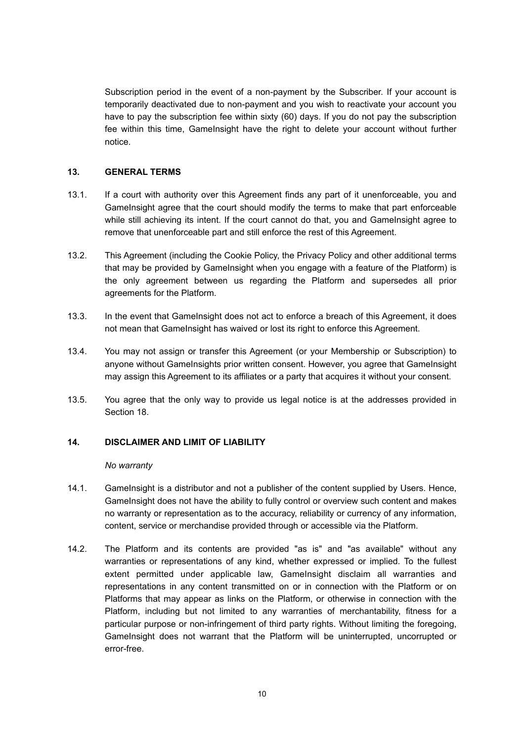Subscription period in the event of a non-payment by the Subscriber. If your account is temporarily deactivated due to non-payment and you wish to reactivate your account you have to pay the subscription fee within sixty (60) days. If you do not pay the subscription fee within this time, GameInsight have the right to delete your account without further notice.

# <span id="page-9-0"></span>**13. GENERAL TERMS**

- 13.1. If a court with authority over this Agreement finds any part of it unenforceable, you and GameInsight agree that the court should modify the terms to make that part enforceable while still achieving its intent. If the court cannot do that, you and GameInsight agree to remove that unenforceable part and still enforce the rest of this Agreement.
- 13.2. This Agreement (including the Cookie Policy, the Privacy Policy and other additional terms that may be provided by GameInsight when you engage with a feature of the Platform) is the only agreement between us regarding the Platform and supersedes all prior agreements for the Platform.
- 13.3. In the event that GameInsight does not act to enforce a breach of this Agreement, it does not mean that GameInsight has waived or lost its right to enforce this Agreement.
- 13.4. You may not assign or transfer this Agreement (or your Membership or Subscription) to anyone without GameInsights prior written consent. However, you agree that GameInsight may assign this Agreement to its affiliates or a party that acquires it without your consent.
- 13.5. You agree that the only way to provide us legal notice is at the addresses provided in Section [18](#page-12-0).

# **14. DISCLAIMER AND LIMIT OF LIABILITY**

# <span id="page-9-1"></span>*No warranty*

- 14.1. GameInsight is a distributor and not a publisher of the content supplied by Users. Hence, GameInsight does not have the ability to fully control or overview such content and makes no warranty or representation as to the accuracy, reliability or currency of any information, content, service or merchandise provided through or accessible via the Platform.
- 14.2. The Platform and its contents are provided "as is" and "as available" without any warranties or representations of any kind, whether expressed or implied. To the fullest extent permitted under applicable law, GameInsight disclaim all warranties and representations in any content transmitted on or in connection with the Platform or on Platforms that may appear as links on the Platform, or otherwise in connection with the Platform, including but not limited to any warranties of merchantability, fitness for a particular purpose or non-infringement of third party rights. Without limiting the foregoing, GameInsight does not warrant that the Platform will be uninterrupted, uncorrupted or error-free.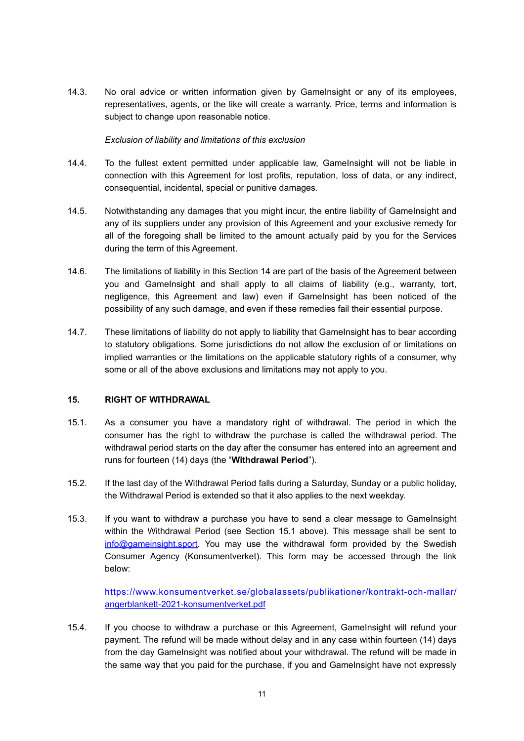14.3. No oral advice or written information given by GameInsight or any of its employees, representatives, agents, or the like will create a warranty. Price, terms and information is subject to change upon reasonable notice.

# *Exclusion of liability and limitations of this exclusion*

- 14.4. To the fullest extent permitted under applicable law, GameInsight will not be liable in connection with this Agreement for lost profits, reputation, loss of data, or any indirect, consequential, incidental, special or punitive damages.
- 14.5. Notwithstanding any damages that you might incur, the entire liability of GameInsight and any of its suppliers under any provision of this Agreement and your exclusive remedy for all of the foregoing shall be limited to the amount actually paid by you for the Services during the term of this Agreement.
- 14.6. The limitations of liability in this Section [14](#page-9-1) are part of the basis of the Agreement between you and GameInsight and shall apply to all claims of liability (e.g., warranty, tort, negligence, this Agreement and law) even if GameInsight has been noticed of the possibility of any such damage, and even if these remedies fail their essential purpose.
- 14.7. These limitations of liability do not apply to liability that GameInsight has to bear according to statutory obligations. Some jurisdictions do not allow the exclusion of or limitations on implied warranties or the limitations on the applicable statutory rights of a consumer, why some or all of the above exclusions and limitations may not apply to you.

# <span id="page-10-1"></span><span id="page-10-0"></span>**15. RIGHT OF WITHDRAWAL**

- <span id="page-10-2"></span>15.1. As a consumer you have a mandatory right of withdrawal. The period in which the consumer has the right to withdraw the purchase is called the withdrawal period. The withdrawal period starts on the day after the consumer has entered into an agreement and runs for fourteen (14) days (the "**Withdrawal Period**").
- 15.2. If the last day of the Withdrawal Period falls during a Saturday, Sunday or a public holiday, the Withdrawal Period is extended so that it also applies to the next weekday.
- 15.3. If you want to withdraw a purchase you have to send a clear message to GameInsight within the Withdrawal Period (see Section [15.1](#page-10-2) above). This message shall be sent to [info@gameinsight.sport](mailto:info@gameinsight.sport). You may use the withdrawal form provided by the Swedish Consumer Agency (Konsumentverket). This form may be accessed through the link below:

[https://www.konsumentverket.se/globalassets/publikationer/kontrakt-och-mallar/](https://www.konsumentverket.se/globalassets/publikationer/kontrakt-och-mallar/angerblankett-2021-konsumentverket.pdf) [angerblankett-2021-konsumentverket.pdf](https://www.konsumentverket.se/globalassets/publikationer/kontrakt-och-mallar/angerblankett-2021-konsumentverket.pdf)

15.4. If you choose to withdraw a purchase or this Agreement, GameInsight will refund your payment. The refund will be made without delay and in any case within fourteen (14) days from the day GameInsight was notified about your withdrawal. The refund will be made in the same way that you paid for the purchase, if you and GameInsight have not expressly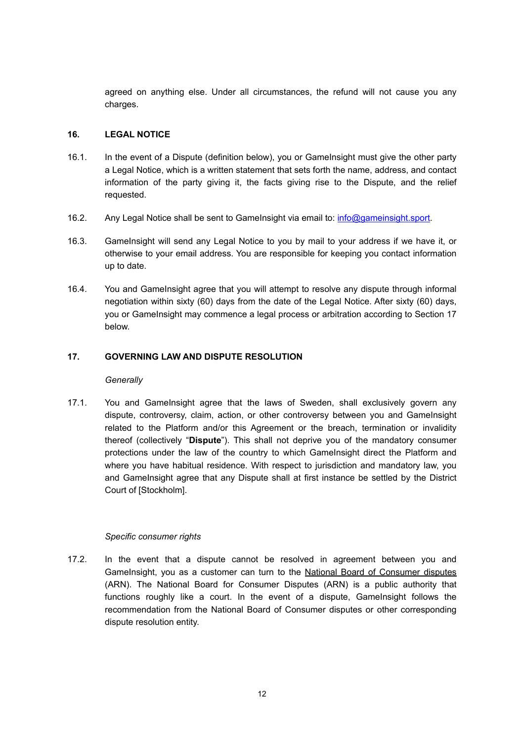agreed on anything else. Under all circumstances, the refund will not cause you any charges.

# <span id="page-11-0"></span>**16. LEGAL NOTICE**

- 16.1. In the event of a Dispute (definition below), you or GameInsight must give the other party a Legal Notice, which is a written statement that sets forth the name, address, and contact information of the party giving it, the facts giving rise to the Dispute, and the relief requested.
- 16.2. Any Legal Notice shall be sent to GameInsight via email to: [info@gameinsight.sport](mailto:info@gameinsight.sport).
- 16.3. GameInsight will send any Legal Notice to you by mail to your address if we have it, or otherwise to your email address. You are responsible for keeping you contact information up to date.
- 16.4. You and GameInsight agree that you will attempt to resolve any dispute through informal negotiation within sixty (60) days from the date of the Legal Notice. After sixty (60) days, you or GameInsight may commence a legal process or arbitration according to Section [17](#page-11-1) below.

# **17. GOVERNING LAW AND DISPUTE RESOLUTION**

# <span id="page-11-1"></span>*Generally*

17.1. You and GameInsight agree that the laws of Sweden, shall exclusively govern any dispute, controversy, claim, action, or other controversy between you and GameInsight related to the Platform and/or this Agreement or the breach, termination or invalidity thereof (collectively "**Dispute**"). This shall not deprive you of the mandatory consumer protections under the law of the country to which GameInsight direct the Platform and where you have habitual residence. With respect to jurisdiction and mandatory law, you and GameInsight agree that any Dispute shall at first instance be settled by the District Court of [Stockholm].

# *Specific consumer rights*

17.2. In the event that a dispute cannot be resolved in agreement between you and GameInsight, you as a customer can turn to the [National Board of Consumer disputes](https://arn.se/om-arn/Languages/english-what-is-arn/) (ARN). The National Board for Consumer Disputes (ARN) is a public authority that functions roughly like a court. In the event of a dispute, GameInsight follows the recommendation from the National Board of Consumer disputes or other corresponding dispute resolution entity.